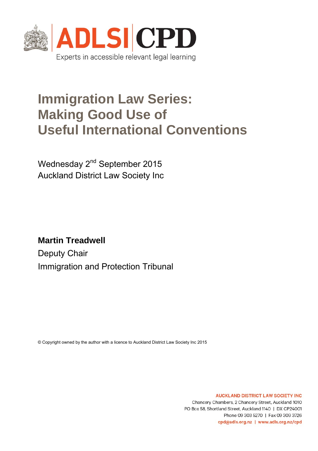

# **Immigration Law Series: Making Good Use of Useful International Conventions**

Wednesday 2<sup>nd</sup> September 2015 Auckland District Law Society Inc

**Martin Treadwell**  Deputy Chair Immigration and Protection Tribunal

© Copyright owned by the author with a licence to Auckland District Law Society Inc 2015

**AUCKLAND DISTRICT LAW SOCIETY INC** Chancery Chambers, 2 Chancery Street, Auckland 1010 PO Box 58, Shortland Street, Auckland 1140 | DX CP24001 Phone 09 303 5270 | Fax 09 309 3726 cpd@adls.org.nz | www.adls.org.nz/cpd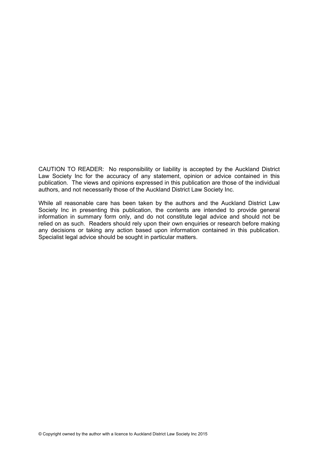CAUTION TO READER: No responsibility or liability is accepted by the Auckland District Law Society Inc for the accuracy of any statement, opinion or advice contained in this publication. The views and opinions expressed in this publication are those of the individual authors, and not necessarily those of the Auckland District Law Society Inc.

While all reasonable care has been taken by the authors and the Auckland District Law Society Inc in presenting this publication, the contents are intended to provide general information in summary form only, and do not constitute legal advice and should not be relied on as such. Readers should rely upon their own enquiries or research before making any decisions or taking any action based upon information contained in this publication. Specialist legal advice should be sought in particular matters.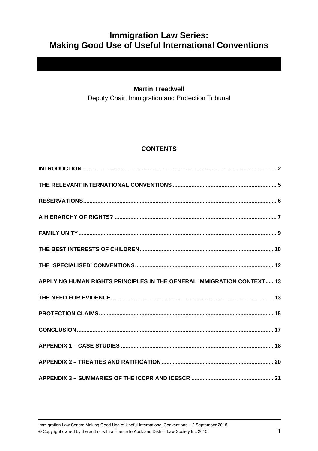## **Immigration Law Series: Making Good Use of Useful International Conventions**

### **Martin Treadwell**

Deputy Chair, Immigration and Protection Tribunal

### **CONTENTS**

| APPLYING HUMAN RIGHTS PRINCIPLES IN THE GENERAL IMMIGRATION CONTEXT 13 |
|------------------------------------------------------------------------|
|                                                                        |
|                                                                        |
|                                                                        |
|                                                                        |
|                                                                        |
|                                                                        |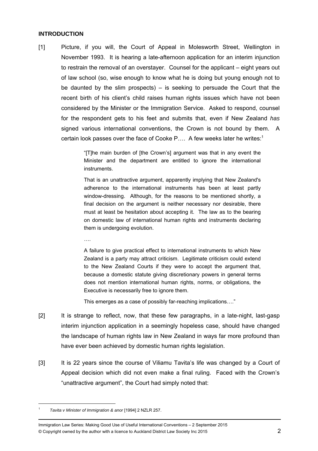### **INTRODUCTION**

[1] Picture, if you will, the Court of Appeal in Molesworth Street, Wellington in November 1993. It is hearing a late-afternoon application for an interim injunction to restrain the removal of an overstayer. Counsel for the applicant – eight years out of law school (so, wise enough to know what he is doing but young enough not to be daunted by the slim prospects)  $-$  is seeking to persuade the Court that the recent birth of his client's child raises human rights issues which have not been considered by the Minister or the Immigration Service. Asked to respond, counsel for the respondent gets to his feet and submits that, even if New Zealand *has* signed various international conventions, the Crown is not bound by them. A certain look passes over the face of Cooke P.... A few weeks later he writes:<sup>1</sup>

> "[T]he main burden of [the Crown's] argument was that in any event the Minister and the department are entitled to ignore the international instruments.

> That is an unattractive argument, apparently implying that New Zealand's adherence to the international instruments has been at least partly window-dressing. Although, for the reasons to be mentioned shortly, a final decision on the argument is neither necessary nor desirable, there must at least be hesitation about accepting it. The law as to the bearing on domestic law of international human rights and instruments declaring them is undergoing evolution.

….

A failure to give practical effect to international instruments to which New Zealand is a party may attract criticism. Legitimate criticism could extend to the New Zealand Courts if they were to accept the argument that, because a domestic statute giving discretionary powers in general terms does not mention international human rights, norms, or obligations, the Executive is necessarily free to ignore them.

This emerges as a case of possibly far-reaching implications…."

- [2] It is strange to reflect, now, that these few paragraphs, in a late-night, last-gasp interim injunction application in a seemingly hopeless case, should have changed the landscape of human rights law in New Zealand in ways far more profound than have ever been achieved by domestic human rights legislation.
- [3] It is 22 years since the course of Viliamu Tavita's life was changed by a Court of Appeal decision which did not even make a final ruling. Faced with the Crown's "unattractive argument", the Court had simply noted that:

<sup>1</sup> *Tavita v Minister of Immigration & anor* [1994] 2 NZLR 257.

Immigration Law Series: Making Good Use of Useful International Conventions – 2 September 2015 © Copyright owned by the author with a licence to Auckland District Law Society Inc 2015 2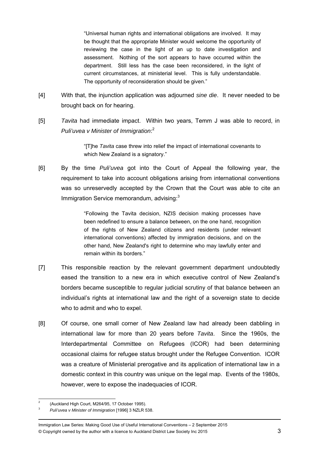"Universal human rights and international obligations are involved. It may be thought that the appropriate Minister would welcome the opportunity of reviewing the case in the light of an up to date investigation and assessment. Nothing of the sort appears to have occurred within the department. Still less has the case been reconsidered, in the light of current circumstances, at ministerial level. This is fully understandable. The opportunity of reconsideration should be given."

- [4] With that, the injunction application was adjourned *sine die*. It never needed to be brought back on for hearing.
- [5] *Tavita* had immediate impact. Within two years, Temm J was able to record, in *Puli'uvea v Minister of Immigration*: 2

"[T]he *Tavita* case threw into relief the impact of international covenants to which New Zealand is a signatory."

[6] By the time *Puli'uvea* got into the Court of Appeal the following year, the requirement to take into account obligations arising from international conventions was so unreservedly accepted by the Crown that the Court was able to cite an Immigration Service memorandum, advising: $3$ 

> "Following the Tavita decision, NZIS decision making processes have been redefined to ensure a balance between, on the one hand, recognition of the rights of New Zealand citizens and residents (under relevant international conventions) affected by immigration decisions, and on the other hand, New Zealand's right to determine who may lawfully enter and remain within its borders."

- [7] This responsible reaction by the relevant government department undoubtedly eased the transition to a new era in which executive control of New Zealand's borders became susceptible to regular judicial scrutiny of that balance between an individual's rights at international law and the right of a sovereign state to decide who to admit and who to expel.
- [8] Of course, one small corner of New Zealand law had already been dabbling in international law for more than 20 years before *Tavita*. Since the 1960s, the Interdepartmental Committee on Refugees (ICOR) had been determining occasional claims for refugee status brought under the Refugee Convention. ICOR was a creature of Ministerial prerogative and its application of international law in a domestic context in this country was unique on the legal map. Events of the 1980s, however, were to expose the inadequacies of ICOR.

 $\overline{2}$ 2 (Auckland High Court, M264/95, 17 October 1995).

<sup>3</sup>*Puli'uvea v Minister of Immigration* [1996] 3 NZLR 538.

Immigration Law Series: Making Good Use of Useful International Conventions – 2 September 2015 © Copyright owned by the author with a licence to Auckland District Law Society Inc 2015 3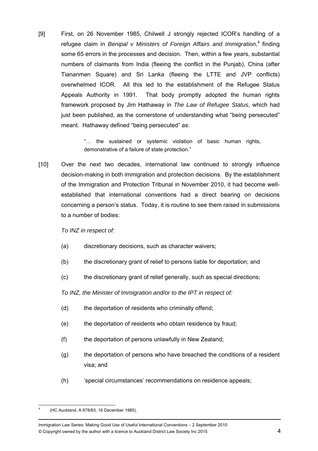[9] First, on 26 November 1985, Chilwell J strongly rejected ICOR's handling of a refugee claim in Benipal v Ministers of Foreign Affairs and Immigration,<sup>4</sup> finding some 65 errors in the processes and decision. Then, within a few years, substantial numbers of claimants from India (fleeing the conflict in the Punjab), China (after Tiananmen Square) and Sri Lanka (fleeing the LTTE and JVP conflicts) overwhelmed ICOR. All this led to the establishment of the Refugee Status Appeals Authority in 1991. That body promptly adopted the human rights framework proposed by Jim Hathaway in *The Law of Refugee Status*, which had just been published, as the cornerstone of understanding what "being persecuted" meant. Hathaway defined "being persecuted" as:

> "… the sustained or systemic violation of basic human rights, demonstrative of a failure of state protection."

[10] Over the next two decades, international law continued to strongly influence decision-making in both immigration and protection decisions. By the establishment of the Immigration and Protection Tribunal in November 2010, it had become wellestablished that international conventions had a direct bearing on decisions concerning a person's status. Today, it is routine to see them raised in submissions to a number of bodies:

*To INZ in respect of:* 

- (a) discretionary decisions, such as character waivers;
- (b) the discretionary grant of relief to persons liable for deportation; and
- (c) the discretionary grant of relief generally, such as special directions;

*To INZ, the Minister of Immigration and/or to the IPT in respect of:* 

- (d) the deportation of residents who criminally offend;
- (e) the deportation of residents who obtain residence by fraud;
- (f) the deportation of persons unlawfully in New Zealand;
- (g) the deportation of persons who have breached the conditions of a resident visa; and
- (h) 'special circumstances' recommendations on residence appeals;

 4 (HC Auckland, A 878/83, 16 December 1985).

Immigration Law Series: Making Good Use of Useful International Conventions – 2 September 2015 © Copyright owned by the author with a licence to Auckland District Law Society Inc 2015 4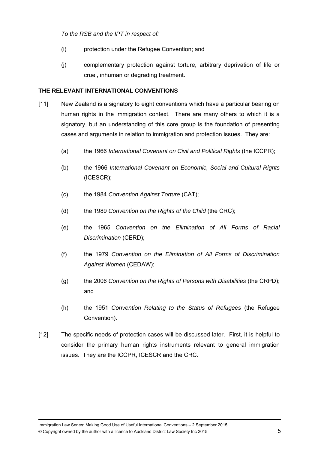*To the RSB and the IPT in respect of:* 

- (i) protection under the Refugee Convention; and
- (j) complementary protection against torture, arbitrary deprivation of life or cruel, inhuman or degrading treatment.

### **THE RELEVANT INTERNATIONAL CONVENTIONS**

- [11] New Zealand is a signatory to eight conventions which have a particular bearing on human rights in the immigration context. There are many others to which it is a signatory, but an understanding of this core group is the foundation of presenting cases and arguments in relation to immigration and protection issues. They are:
	- (a) the 1966 *International Covenant on Civil and Political Rights* (the ICCPR);
	- (b) the 1966 *International Covenant on Economic, Social and Cultural Rights* (ICESCR);
	- (c) the 1984 *Convention Against Torture* (CAT);
	- (d) the 1989 *Convention on the Rights of the Child* (the CRC);
	- (e) the 1965 *Convention on the Elimination of All Forms of Racial Discrimination* (CERD);
	- (f) the 1979 *Convention on the Elimination of All Forms of Discrimination Against Women* (CEDAW);
	- (g) the 2006 *Convention on the Rights of Persons with Disabilities* (the CRPD); and
	- (h) the 1951 *Convention Relating to the Status of Refugees* (the Refugee Convention).
- [12] The specific needs of protection cases will be discussed later. First, it is helpful to consider the primary human rights instruments relevant to general immigration issues. They are the ICCPR, ICESCR and the CRC.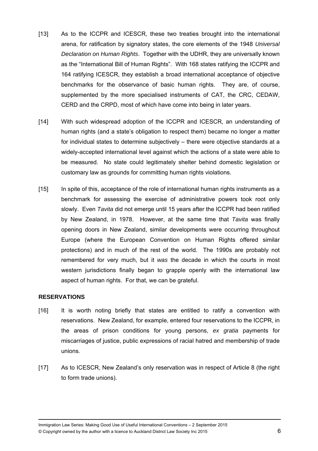- [13] As to the ICCPR and ICESCR, these two treaties brought into the international arena, for ratification by signatory states, the core elements of the 1948 *Universal Declaration on Human Rights*. Together with the UDHR, they are universally known as the "International Bill of Human Rights". With 168 states ratifying the ICCPR and 164 ratifying ICESCR, they establish a broad international acceptance of objective benchmarks for the observance of basic human rights. They are, of course, supplemented by the more specialised instruments of CAT, the CRC, CEDAW, CERD and the CRPD, most of which have come into being in later years.
- [14] With such widespread adoption of the ICCPR and ICESCR, an understanding of human rights (and a state's obligation to respect them) became no longer a matter for individual states to determine subjectively – there were objective standards at a widely-accepted international level against which the actions of a state were able to be measured. No state could legitimately shelter behind domestic legislation or customary law as grounds for committing human rights violations.
- [15] In spite of this, acceptance of the role of international human rights instruments as a benchmark for assessing the exercise of administrative powers took root only slowly. Even *Tavita* did not emerge until 15 years after the ICCPR had been ratified by New Zealand, in 1978. However, at the same time that *Tavita* was finally opening doors in New Zealand, similar developments were occurring throughout Europe (where the European Convention on Human Rights offered similar protections) and in much of the rest of the world. The 1990s are probably not remembered for very much, but it *was* the decade in which the courts in most western jurisdictions finally began to grapple openly with the international law aspect of human rights. For that, we can be grateful.

### **RESERVATIONS**

- [16] It is worth noting briefly that states are entitled to ratify a convention with reservations. New Zealand, for example, entered four reservations to the ICCPR, in the areas of prison conditions for young persons, *ex gratia* payments for miscarriages of justice, public expressions of racial hatred and membership of trade unions.
- [17] As to ICESCR, New Zealand's only reservation was in respect of Article 8 (the right to form trade unions).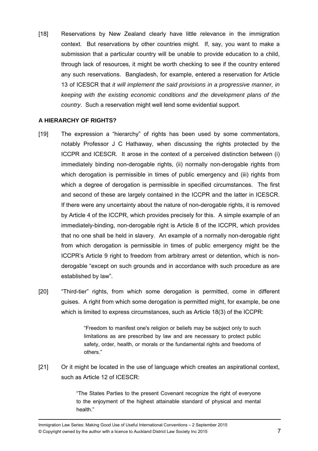[18] Reservations by New Zealand clearly have little relevance in the immigration context. But reservations by other countries might. If, say, you want to make a submission that a particular country will be unable to provide education to a child, through lack of resources, it might be worth checking to see if the country entered any such reservations. Bangladesh, for example, entered a reservation for Article 13 of ICESCR that *it will implement the said provisions in a progressive manner, in keeping with the existing economic conditions and the development plans of the country*. Such a reservation might well lend some evidential support.

### **A HIERARCHY OF RIGHTS?**

- [19] The expression a "hierarchy" of rights has been used by some commentators, notably Professor J C Hathaway, when discussing the rights protected by the ICCPR and ICESCR. It arose in the context of a perceived distinction between (i) immediately binding non-derogable rights, (ii) normally non-derogable rights from which derogation is permissible in times of public emergency and (iii) rights from which a degree of derogation is permissible in specified circumstances. The first and second of these are largely contained in the ICCPR and the latter in ICESCR. If there were any uncertainty about the nature of non-derogable rights, it is removed by Article 4 of the ICCPR, which provides precisely for this. A simple example of an immediately-binding, non-derogable right is Article 8 of the ICCPR, which provides that no one shall be held in slavery. An example of a normally non-derogable right from which derogation is permissible in times of public emergency might be the ICCPR's Article 9 right to freedom from arbitrary arrest or detention, which is nonderogable "except on such grounds and in accordance with such procedure as are established by law".
- [20] "Third-tier" rights, from which some derogation is permitted, come in different guises. A right from which some derogation is permitted might, for example, be one which is limited to express circumstances, such as Article 18(3) of the ICCPR:

"Freedom to manifest one's religion or beliefs may be subject only to such limitations as are prescribed by law and are necessary to protect public safety, order, health, or morals or the fundamental rights and freedoms of others."

[21] Or it might be located in the use of language which creates an aspirational context, such as Article 12 of ICESCR:

> "The States Parties to the present Covenant recognize the right of everyone to the enjoyment of the highest attainable standard of physical and mental health"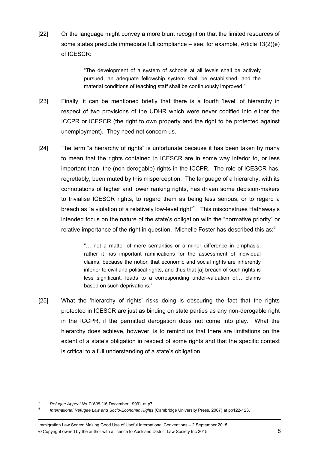[22] Or the language might convey a more blunt recognition that the limited resources of some states preclude immediate full compliance – see, for example, Article 13(2)(e) of ICESCR:

> "The development of a system of schools at all levels shall be actively pursued, an adequate fellowship system shall be established, and the material conditions of teaching staff shall be continuously improved."

- [23] Finally, it can be mentioned briefly that there is a fourth 'level' of hierarchy in respect of two provisions of the UDHR which were never codified into either the ICCPR or ICESCR (the right to own property and the right to be protected against unemployment). They need not concern us.
- [24] The term "a hierarchy of rights" is unfortunate because it has been taken by many to mean that the rights contained in ICESCR are in some way inferior to, or less important than, the (non-derogable) rights in the ICCPR. The role of ICESCR has, regrettably, been muted by this misperception. The language of a hierarchy, with its connotations of higher and lower ranking rights, has driven some decision-makers to trivialise ICESCR rights, to regard them as being less serious, or to regard a breach as "a violation of a relatively low-level right"<sup>5</sup>. This misconstrues Hathaway's intended focus on the nature of the state's obligation with the "normative priority" or relative importance of the right in question. Michelle Foster has described this as: $6$

"… not a matter of mere semantics or a minor difference in emphasis; rather it has important ramifications for the assessment of individual claims, because the notion that economic and social rights are inherently inferior to civil and political rights, and thus that [a] breach of such rights is less significant, leads to a corresponding under-valuation of… claims based on such deprivations."

[25] What the 'hierarchy of rights' risks doing is obscuring the fact that the rights protected in ICESCR are just as binding on state parties as any non-derogable right in the ICCPR, if the permitted derogation does not come into play. What the hierarchy does achieve, however, is to remind us that there are limitations on the extent of a state's obligation in respect of some rights and that the specific context is critical to a full understanding of a state's obligation.

 5 *Refugee Appeal No 71605* (16 December 1999), at p7.

<sup>6</sup> *International Refugee Law and Socio-Economic Rights* (Cambridge University Press, 2007) at pp122-123.

Immigration Law Series: Making Good Use of Useful International Conventions – 2 September 2015 © Copyright owned by the author with a licence to Auckland District Law Society Inc 2015 8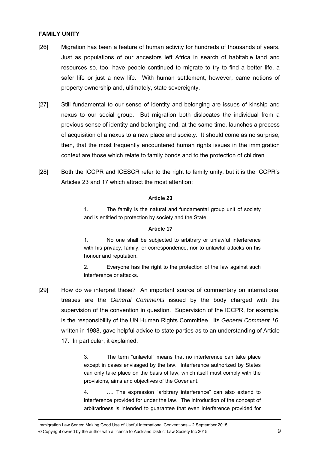### **FAMILY UNITY**

- [26] Migration has been a feature of human activity for hundreds of thousands of years. Just as populations of our ancestors left Africa in search of habitable land and resources so, too, have people continued to migrate to try to find a better life, a safer life or just a new life. With human settlement, however, came notions of property ownership and, ultimately, state sovereignty.
- [27] Still fundamental to our sense of identity and belonging are issues of kinship and nexus to our social group. But migration both dislocates the individual from a previous sense of identity and belonging and, at the same time, launches a process of acquisition of a nexus to a new place and society. It should come as no surprise, then, that the most frequently encountered human rights issues in the immigration context are those which relate to family bonds and to the protection of children.
- [28] Both the ICCPR and ICESCR refer to the right to family unity, but it is the ICCPR's Articles 23 and 17 which attract the most attention:

### **Article 23**

1. The family is the natural and fundamental group unit of society and is entitled to protection by society and the State.

### **Article 17**

1. No one shall be subjected to arbitrary or unlawful interference with his privacy, family, or correspondence, nor to unlawful attacks on his honour and reputation.

2. Everyone has the right to the protection of the law against such interference or attacks.

[29] How do we interpret these? An important source of commentary on international treaties are the *General Comments* issued by the body charged with the supervision of the convention in question. Supervision of the ICCPR, for example, is the responsibility of the UN Human Rights Committee. Its *General Comment 16*, written in 1988, gave helpful advice to state parties as to an understanding of Article 17. In particular, it explained:

> 3. The term "unlawful" means that no interference can take place except in cases envisaged by the law. Interference authorized by States can only take place on the basis of law, which itself must comply with the provisions, aims and objectives of the Covenant.

> 4. …. The expression "arbitrary interference" can also extend to interference provided for under the law. The introduction of the concept of arbitrariness is intended to guarantee that even interference provided for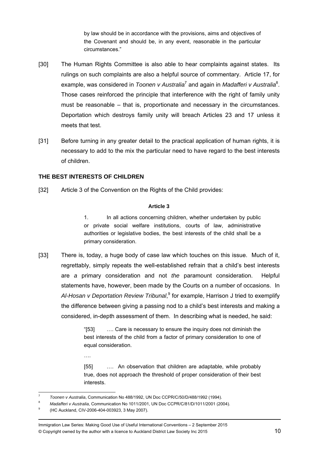by law should be in accordance with the provisions, aims and objectives of the Covenant and should be, in any event, reasonable in the particular circumstances."

- [30] The Human Rights Committee is also able to hear complaints against states. Its rulings on such complaints are also a helpful source of commentary. Article 17, for example, was considered in *Toonen v Australia*<sup>7</sup> and again in *Madafferi v Australia*<sup>8</sup>. Those cases reinforced the principle that interference with the right of family unity must be reasonable – that is, proportionate and necessary in the circumstances. Deportation which destroys family unity will breach Articles 23 and 17 unless it meets that test.
- [31] Before turning in any greater detail to the practical application of human rights, it is necessary to add to the mix the particular need to have regard to the best interests of children.

### **THE BEST INTERESTS OF CHILDREN**

[32] Article 3 of the Convention on the Rights of the Child provides:

### **Article 3**

1. In all actions concerning children, whether undertaken by public or private social welfare institutions, courts of law, administrative authorities or legislative bodies, the best interests of the child shall be a primary consideration.

[33] There is, today, a huge body of case law which touches on this issue. Much of it, regrettably, simply repeats the well-established refrain that a child's best interests are *a* primary consideration and not *the* paramount consideration. Helpful statements have, however, been made by the Courts on a number of occasions. In Al-Hosan v Deportation Review Tribunal,<sup>9</sup> for example, Harrison J tried to exemplify the difference between giving a passing nod to a child's best interests and making a considered, in-depth assessment of them. In describing what is needed, he said:

> "[53] …. Care is necessary to ensure the inquiry does not diminish the best interests of the child from a factor of primary consideration to one of equal consideration.

> [55] …. An observation that children are adaptable, while probably true, does not approach the threshold of proper consideration of their best interests.

….

 $\frac{1}{7}$ *Toonen v Australia*, Communication No 488/1992, UN Doc CCPR/C/50/D/488/1992 (1994).

<sup>8</sup> *Madafferi v Australia*, Communication No 1011/2001, UN Doc CCPR/C/81/D/1011/2001 (2004).

<sup>9</sup> (HC Auckland, CIV-2006-404-003923, 3 May 2007).

Immigration Law Series: Making Good Use of Useful International Conventions – 2 September 2015 © Copyright owned by the author with a licence to Auckland District Law Society Inc 2015 10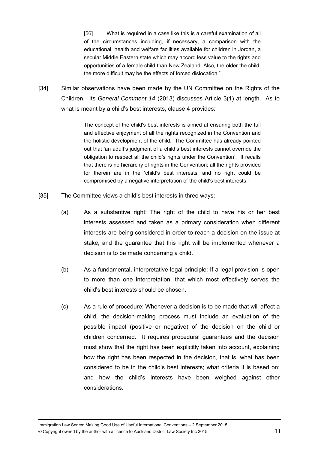[56] What is required in a case like this is a careful examination of all of the circumstances including, if necessary, a comparison with the educational, health and welfare facilities available for children in Jordan, a secular Middle Eastern state which may accord less value to the rights and opportunities of a female child than New Zealand. Also, the older the child, the more difficult may be the effects of forced dislocation."

[34] Similar observations have been made by the UN Committee on the Rights of the Children. Its *General Comment 14* (2013) discusses Article 3(1) at length. As to what is meant by a child's best interests, clause 4 provides:

> The concept of the child's best interests is aimed at ensuring both the full and effective enjoyment of all the rights recognized in the Convention and the holistic development of the child. The Committee has already pointed out that 'an adult's judgment of a child's best interests cannot override the obligation to respect all the child's rights under the Convention'. It recalls that there is no hierarchy of rights in the Convention; all the rights provided for therein are in the 'child's best interests' and no right could be compromised by a negative interpretation of the child's best interests."

- [35] The Committee views a child's best interests in three ways:
	- (a) As a substantive right: The right of the child to have his or her best interests assessed and taken as a primary consideration when different interests are being considered in order to reach a decision on the issue at stake, and the guarantee that this right will be implemented whenever a decision is to be made concerning a child.
	- (b) As a fundamental, interpretative legal principle: If a legal provision is open to more than one interpretation, that which most effectively serves the child's best interests should be chosen.
	- (c) As a rule of procedure: Whenever a decision is to be made that will affect a child, the decision-making process must include an evaluation of the possible impact (positive or negative) of the decision on the child or children concerned. It requires procedural guarantees and the decision must show that the right has been explicitly taken into account, explaining how the right has been respected in the decision, that is, what has been considered to be in the child's best interests; what criteria it is based on; and how the child's interests have been weighed against other considerations.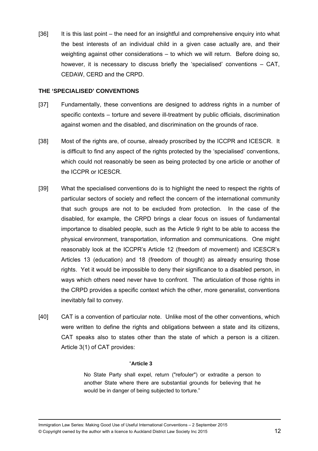[36] It is this last point – the need for an insightful and comprehensive enquiry into what the best interests of an individual child in a given case actually are, and their weighting against other considerations – to which we will return. Before doing so, however, it is necessary to discuss briefly the 'specialised' conventions  $-$  CAT, CEDAW, CERD and the CRPD.

### **THE 'SPECIALISED' CONVENTIONS**

- [37] Fundamentally, these conventions are designed to address rights in a number of specific contexts – torture and severe ill-treatment by public officials, discrimination against women and the disabled, and discrimination on the grounds of race.
- [38] Most of the rights are, of course, already proscribed by the ICCPR and ICESCR. It is difficult to find any aspect of the rights protected by the 'specialised' conventions, which could not reasonably be seen as being protected by one article or another of the ICCPR or ICESCR.
- [39] What the specialised conventions do is to highlight the need to respect the rights of particular sectors of society and reflect the concern of the international community that such groups are not to be excluded from protection. In the case of the disabled, for example, the CRPD brings a clear focus on issues of fundamental importance to disabled people, such as the Article 9 right to be able to access the physical environment, transportation, information and communications. One might reasonably look at the ICCPR's Article 12 (freedom of movement) and ICESCR's Articles 13 (education) and 18 (freedom of thought) as already ensuring those rights. Yet it would be impossible to deny their significance to a disabled person, in ways which others need never have to confront. The articulation of those rights in the CRPD provides a specific context which the other, more generalist, conventions inevitably fail to convey.
- [40] CAT is a convention of particular note. Unlike most of the other conventions, which were written to define the rights and obligations between a state and its citizens, CAT speaks also to states other than the state of which a person is a citizen. Article 3(1) of CAT provides:

### "**Article 3**

No State Party shall expel, return ("refouler") or extradite a person to another State where there are substantial grounds for believing that he would be in danger of being subjected to torture."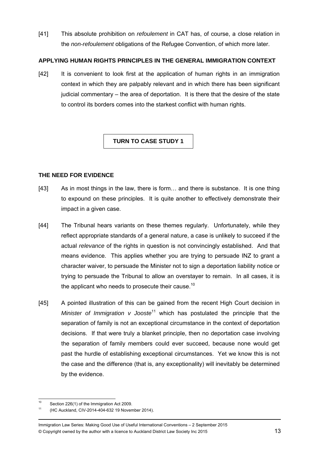[41] This absolute prohibition on *refoulement* in CAT has, of course, a close relation in the *non-refoulement* obligations of the Refugee Convention, of which more later.

### **APPLYING HUMAN RIGHTS PRINCIPLES IN THE GENERAL IMMIGRATION CONTEXT**

[42] It is convenient to look first at the application of human rights in an immigration context in which they are palpably relevant and in which there has been significant judicial commentary – the area of deportation. It is there that the desire of the state to control its borders comes into the starkest conflict with human rights.

### **TURN TO CASE STUDY 1**

### **THE NEED FOR EVIDENCE**

- [43] As in most things in the law, there is form... and there is substance. It is one thing to expound on these principles. It is quite another to effectively demonstrate their impact in a given case.
- [44] The Tribunal hears variants on these themes regularly. Unfortunately, while they reflect appropriate standards of a general nature, a case is unlikely to succeed if the actual *relevance* of the rights in question is not convincingly established. And that means evidence. This applies whether you are trying to persuade INZ to grant a character waiver, to persuade the Minister not to sign a deportation liability notice or trying to persuade the Tribunal to allow an overstayer to remain. In all cases, it is the applicant who needs to prosecute their cause.<sup>10</sup>
- [45] A pointed illustration of this can be gained from the recent High Court decision in *Minister of Immigration v Jooste*11 which has postulated the principle that the separation of family is not an exceptional circumstance in the context of deportation decisions. If that were truly a blanket principle, then no deportation case involving the separation of family members could ever succeed, because none would get past the hurdle of establishing exceptional circumstances. Yet we know this is not the case and the difference (that is, any exceptionality) will inevitably be determined by the evidence.

 $10$ Section 226(1) of the Immigration Act 2009.

<sup>11 (</sup>HC Auckland, CIV-2014-404-632 19 November 2014).

Immigration Law Series: Making Good Use of Useful International Conventions – 2 September 2015 © Copyright owned by the author with a licence to Auckland District Law Society Inc 2015 13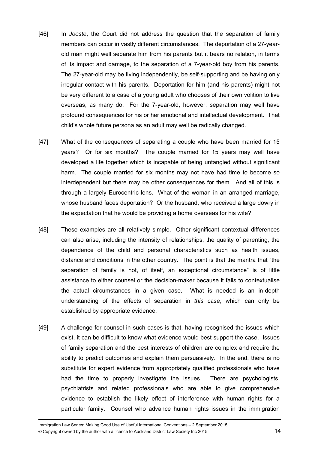- [46] In *Jooste*, the Court did not address the question that the separation of family members can occur in vastly different circumstances. The deportation of a 27-yearold man might well separate him from his parents but it bears no relation, in terms of its impact and damage, to the separation of a 7-year-old boy from his parents. The 27-year-old may be living independently, be self-supporting and be having only irregular contact with his parents. Deportation for him (and his parents) might not be very different to a case of a young adult who chooses of their own volition to live overseas, as many do. For the 7-year-old, however, separation may well have profound consequences for his or her emotional and intellectual development. That child's whole future persona as an adult may well be radically changed.
- [47] What of the consequences of separating a couple who have been married for 15 years? Or for six months? The couple married for 15 years may well have developed a life together which is incapable of being untangled without significant harm. The couple married for six months may not have had time to become so interdependent but there may be other consequences for them. And all of this is through a largely Eurocentric lens. What of the woman in an arranged marriage, whose husband faces deportation? Or the husband, who received a large dowry in the expectation that he would be providing a home overseas for his wife?
- [48] These examples are all relatively simple. Other significant contextual differences can also arise, including the intensity of relationships, the quality of parenting, the dependence of the child and personal characteristics such as health issues, distance and conditions in the other country. The point is that the mantra that "the separation of family is not, of itself, an exceptional circumstance" is of little assistance to either counsel or the decision-maker because it fails to contextualise the actual circumstances in a given case. What is needed is an in-depth understanding of the effects of separation in *this* case, which can only be established by appropriate evidence.
- [49] A challenge for counsel in such cases is that, having recognised the issues which exist, it can be difficult to know what evidence would best support the case. Issues of family separation and the best interests of children are complex and require the ability to predict outcomes and explain them persuasively. In the end, there is no substitute for expert evidence from appropriately qualified professionals who have had the time to properly investigate the issues. There are psychologists, psychiatrists and related professionals who are able to give comprehensive evidence to establish the likely effect of interference with human rights for a particular family. Counsel who advance human rights issues in the immigration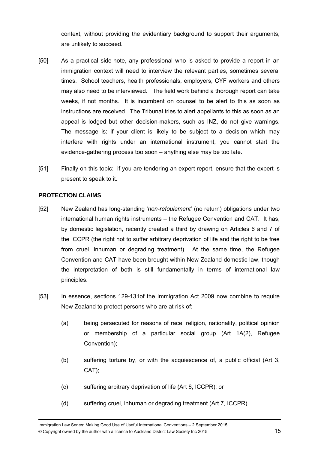context, without providing the evidentiary background to support their arguments, are unlikely to succeed.

- [50] As a practical side-note, any professional who is asked to provide a report in an immigration context will need to interview the relevant parties, sometimes several times. School teachers, health professionals, employers, CYF workers and others may also need to be interviewed. The field work behind a thorough report can take weeks, if not months. It is incumbent on counsel to be alert to this as soon as instructions are received. The Tribunal tries to alert appellants to this as soon as an appeal is lodged but other decision-makers, such as INZ, do not give warnings. The message is: if your client is likely to be subject to a decision which may interfere with rights under an international instrument, you cannot start the evidence-gathering process too soon – anything else may be too late.
- [51] Finally on this topic: if you are tendering an expert report, ensure that the expert is present to speak to it.

### **PROTECTION CLAIMS**

- [52] New Zealand has long-standing '*non-refoulement*' (no return) obligations under two international human rights instruments – the Refugee Convention and CAT. It has, by domestic legislation, recently created a third by drawing on Articles 6 and 7 of the ICCPR (the right not to suffer arbitrary deprivation of life and the right to be free from cruel, inhuman or degrading treatment). At the same time, the Refugee Convention and CAT have been brought within New Zealand domestic law, though the interpretation of both is still fundamentally in terms of international law principles.
- [53] In essence, sections 129-131of the Immigration Act 2009 now combine to require New Zealand to protect persons who are at risk of:
	- (a) being persecuted for reasons of race, religion, nationality, political opinion or membership of a particular social group (Art 1A(2), Refugee Convention);
	- (b) suffering torture by, or with the acquiescence of, a public official (Art 3, CAT);
	- (c) suffering arbitrary deprivation of life (Art 6, ICCPR); or
	- (d) suffering cruel, inhuman or degrading treatment (Art 7, ICCPR).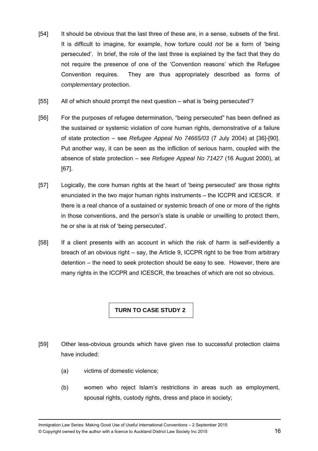- [54] It should be obvious that the last three of these are, in a sense, subsets of the first. It is difficult to imagine, for example, how torture could *not* be a form of 'being persecuted'. In brief, the role of the last three is explained by the fact that they do not require the presence of one of the 'Convention reasons' which the Refugee Convention requires. They are thus appropriately described as forms of *complementary* protection.
- [55] All of which should prompt the next question what is 'being persecuted'?
- [56] For the purposes of refugee determination, "being persecuted" has been defined as the sustained or systemic violation of core human rights, demonstrative of a failure of state protection – see *Refugee Appeal No 74665/03* (7 July 2004) at [36]-[90]. Put another way, it can be seen as the infliction of serious harm, coupled with the absence of state protection – see *Refugee Appeal No 71427* (16 August 2000), at [67].
- [57] Logically, the core human rights at the heart of 'being persecuted' are those rights enunciated in the two major human rights instruments – the ICCPR and ICESCR. If there is a real chance of a sustained or systemic breach of one or more of the rights in those conventions, and the person's state is unable or unwilling to protect them, he or she is at risk of 'being persecuted'.
- [58] If a client presents with an account in which the risk of harm is self-evidently a breach of an obvious right – say, the Article 9, ICCPR right to be free from arbitrary detention – the need to seek protection should be easy to see. However, there are many rights in the ICCPR and ICESCR, the breaches of which are not so obvious.

### **TURN TO CASE STUDY 2**

- [59] Other less-obvious grounds which have given rise to successful protection claims have included:
	- (a) victims of domestic violence;
	- (b) women who reject Islam's restrictions in areas such as employment, spousal rights, custody rights, dress and place in society;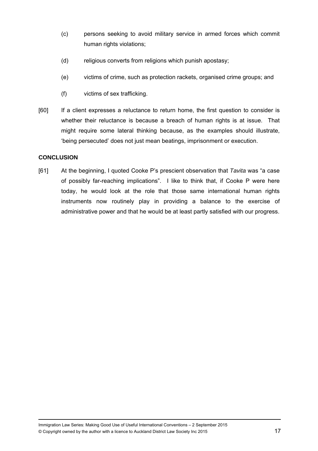- (c) persons seeking to avoid military service in armed forces which commit human rights violations;
- (d) religious converts from religions which punish apostasy;
- (e) victims of crime, such as protection rackets, organised crime groups; and
- (f) victims of sex trafficking.
- [60] If a client expresses a reluctance to return home, the first question to consider is whether their reluctance is because a breach of human rights is at issue. That might require some lateral thinking because, as the examples should illustrate, 'being persecuted' does not just mean beatings, imprisonment or execution.

### **CONCLUSION**

[61] At the beginning, I quoted Cooke P's prescient observation that *Tavita* was "a case of possibly far-reaching implications". I like to think that, if Cooke P were here today, he would look at the role that those same international human rights instruments now routinely play in providing a balance to the exercise of administrative power and that he would be at least partly satisfied with our progress.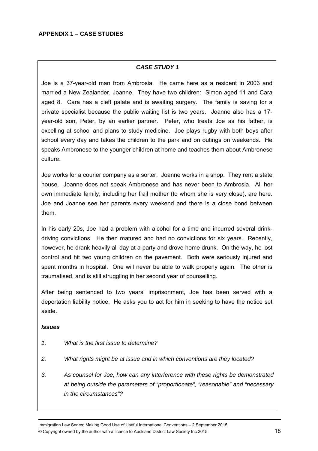### *CASE STUDY 1*

Joe is a 37-year-old man from Ambrosia. He came here as a resident in 2003 and married a New Zealander, Joanne. They have two children: Simon aged 11 and Cara aged 8. Cara has a cleft palate and is awaiting surgery. The family is saving for a private specialist because the public waiting list is two years. Joanne also has a 17 year-old son, Peter, by an earlier partner. Peter, who treats Joe as his father, is excelling at school and plans to study medicine. Joe plays rugby with both boys after school every day and takes the children to the park and on outings on weekends. He speaks Ambronese to the younger children at home and teaches them about Ambronese culture.

Joe works for a courier company as a sorter. Joanne works in a shop. They rent a state house. Joanne does not speak Ambronese and has never been to Ambrosia. All her own immediate family, including her frail mother (to whom she is very close), are here. Joe and Joanne see her parents every weekend and there is a close bond between them.

In his early 20s, Joe had a problem with alcohol for a time and incurred several drinkdriving convictions. He then matured and had no convictions for six years. Recently, however, he drank heavily all day at a party and drove home drunk. On the way, he lost control and hit two young children on the pavement. Both were seriously injured and spent months in hospital. One will never be able to walk properly again. The other is traumatised, and is still struggling in her second year of counselling.

After being sentenced to two years' imprisonment, Joe has been served with a deportation liability notice. He asks you to act for him in seeking to have the notice set aside.

### *Issues*

- *1. What is the first issue to determine?*
- *2. What rights might be at issue and in which conventions are they located?*
- *3. As counsel for Joe, how can any interference with these rights be demonstrated at being outside the parameters of "proportionate", "reasonable" and "necessary in the circumstances"?*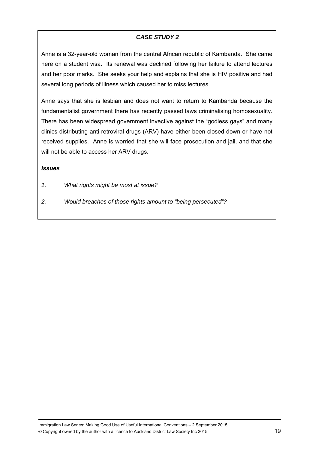### *CASE STUDY 2*

Anne is a 32-year-old woman from the central African republic of Kambanda. She came here on a student visa. Its renewal was declined following her failure to attend lectures and her poor marks. She seeks your help and explains that she is HIV positive and had several long periods of illness which caused her to miss lectures.

Anne says that she is lesbian and does not want to return to Kambanda because the fundamentalist government there has recently passed laws criminalising homosexuality. There has been widespread government invective against the "godless gays" and many clinics distributing anti-retroviral drugs (ARV) have either been closed down or have not received supplies. Anne is worried that she will face prosecution and jail, and that she will not be able to access her ARV drugs.

### *Issues*

- *1. What rights might be most at issue?*
- *2. Would breaches of those rights amount to "being persecuted"?*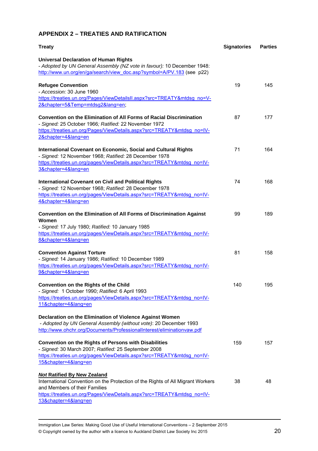### **APPENDIX 2 – TREATIES AND RATIFICATION**

| <b>Treaty</b>                                                                                                                                                                                                                                                                                                                   | <b>Signatories</b> | <b>Parties</b> |
|---------------------------------------------------------------------------------------------------------------------------------------------------------------------------------------------------------------------------------------------------------------------------------------------------------------------------------|--------------------|----------------|
| <b>Universal Declaration of Human Rights</b><br>- Adopted by UN General Assembly (NZ vote in favour): 10 December 1948:<br>http://www.un.org/en/ga/search/view_doc.asp?symbol=A/PV.183 (see p22)                                                                                                                                |                    |                |
| <b>Refugee Convention</b><br>- Accession: 30 June 1960<br>https://treaties.un.org/Pages/ViewDetailsII.aspx?src=TREATY&mtdsg_no=V-<br>2&chapter=5&Temp=mtdsg2⟨=en;                                                                                                                                                               | 19                 | 145            |
| <b>Convention on the Elimination of All Forms of Racial Discrimination</b><br>- Signed: 25 October 1966; Ratified: 22 November 1972<br>https://treaties.un.org/Pages/ViewDetails.aspx?src=TREATY&mtdsg_no=IV-<br>2&chapter=4⟨=en                                                                                                | 87                 | 177            |
| <b>International Covenant on Economic, Social and Cultural Rights</b><br>- Signed: 12 November 1968; Ratified: 28 December 1978<br>https://treaties.un.org/pages/ViewDetails.aspx?src=TREATY&mtdsg_no=IV-<br>3&chapter=4⟨=en                                                                                                    | 71                 | 164            |
| <b>International Covenant on Civil and Political Rights</b><br>- Signed: 12 November 1968; Ratified: 28 December 1978<br>https://treaties.un.org/pages/ViewDetails.aspx?src=TREATY&mtdsg_no=IV-<br>4&chapter=4⟨=en                                                                                                              | 74                 | 168            |
| Convention on the Elimination of All Forms of Discrimination Against<br>Women<br>- Signed: 17 July 1980; Ratified: 10 January 1985<br>https://treaties.un.org/pages/ViewDetails.aspx?src=TREATY&mtdsg_no=IV-<br>8&chapter=4⟨=en                                                                                                 | 99                 | 189            |
| <b>Convention Against Torture</b><br>- Signed: 14 January 1986; Ratified: 10 December 1989<br>https://treaties.un.org/pages/ViewDetails.aspx?src=TREATY&mtdsg_no=IV-<br>9&chapter=4⟨=en                                                                                                                                         | 81                 | 158            |
| <b>Convention on the Rights of the Child</b><br>- Signed: 1 October 1990; Ratified: 6 April 1993<br>https://treaties.un.org/pages/ViewDetails.aspx?src=TREATY&mtdsg_no=IV-<br>11&chapter=4⟨=en<br>Declaration on the Elimination of Violence Against Women<br>- Adopted by UN General Assembly (without vote): 20 December 1993 | 140                | 195            |
| http://www.ohchr.org/Documents/ProfessionalInterest/eliminationvaw.pdf<br>Convention on the Rights of Persons with Disabilities<br>- Signed: 30 March 2007; Ratified: 25 September 2008<br>https://treaties.un.org/pages/ViewDetails.aspx?src=TREATY&mtdsg no=IV-<br>15&chapter=4⟨=en                                           | 159                | 157            |
| <b>Not Ratified By New Zealand</b><br>International Convention on the Protection of the Rights of All Migrant Workers<br>and Members of their Families<br>https://treaties.un.org/Pages/ViewDetails.aspx?src=TREATY&mtdsg_no=IV-<br>13&chapter=4⟨=en                                                                            | 38                 | 48             |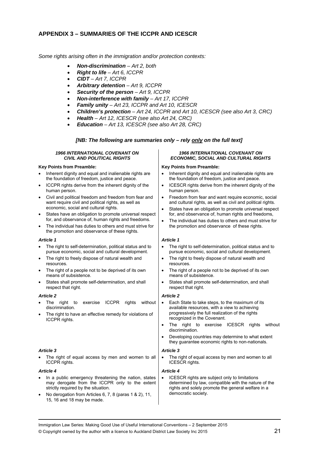### **APPENDIX 3 – SUMMARIES OF THE ICCPR AND ICESCR**

*Some rights arising often in the immigration and/or protection contexts:* 

- *Non-discrimination Art 2, both*
- *Right to life Art 6, ICCPR*
- *CIDT Art 7, ICCPR*
- *Arbitrary detention Art 9, ICCPR*
- *Security of the person Art 9, ICCPR*
- *Non-interference with family Art 17, ICCPR*
- *Family unity Art 23, ICCPR and Art 10, ICESCR*
- *Children's protection Art 24, ICCPR and Art 10, ICESCR (see also Art 3, CRC)*
- *Health Art 12, ICESCR (see also Art 24, CRC)*
- *Education Art 13, ICESCR (see also Art 28, CRC)*

#### *[NB: The following are summaries only – rely only on the full text]*

#### *1966 INTERNATIONAL COVENANT ON CIVIL AND POLITICAL RIGHTS*

#### **Key Points from Preamble:**

- Inherent dignity and equal and inalienable rights are the foundation of freedom, justice and peace.
- ICCPR rights derive from the inherent dignity of the human person.
- Civil and political freedom and freedom from fear and want require civil and political rights, as well as economic, social and cultural rights.
- States have an obligation to promote universal respect for, and observance of, human rights and freedoms.
- The individual has duties to others and must strive for the promotion and observance of these rights.

#### *Article 1*

- The right to self-determination, political status and to pursue economic, social and cultural development.
- The right to freely dispose of natural wealth and resources.
- The right of a people not to be deprived of its own means of subsistence.
- States shall promote self-determination, and shall respect that right.

#### *Article 2*

- The right to exercise ICCPR rights without discrimination.
- The right to have an effective remedy for violations of ICCPR rights.

#### *Article 3*

 The right of equal access by men and women to all ICCPR rights.

#### *Article 4*

- In a public emergency threatening the nation, states may derogate from the ICCPR only to the extent strictly required by the situation.
- No derogation from Articles 6, 7, 8 (paras 1 & 2), 11, 15, 16 and 18 may be made.

#### *1966 INTERNATIONAL COVENANT ON ECONOMIC, SOCIAL AND CULTURAL RIGHTS*

#### **Key Points from Preamble:**

- Inherent dignity and equal and inalienable rights are the foundation of freedom, justice and peace.
- ICESCR rights derive from the inherent dignity of the human person.
- Freedom from fear and want require economic, social and cultural rights, as well as civil and political rights.
- States have an obligation to promote universal respect for, and observance of, human rights and freedoms,
- The individual has duties to others and must strive for the promotion and observance of these rights.

#### *Article 1*

- The right to self-determination, political status and to pursue economic, social and cultural development.
- The right to freely dispose of natural wealth and resources.
- The right of a people not to be deprived of its own means of subsistence.
- States shall promote self-determination, and shall respect that right.

#### *Article 2*

- Each State to take steps, to the maximum of its available resources, with a view to achieving progressively the full realization of the rights recognized in the Covenant.
- The right to exercise ICESCR rights without discrimination.
- Developing countries may determine to what extent they guarantee economic rights to non-nationals.

#### *Article 3*

 The right of equal access by men and women to all ICESCR rights.

#### *Article 4*

 ICESCR rights are subject only to limitations determined by law, compatible with the nature of the rights and solely promote the general welfare in a democratic society.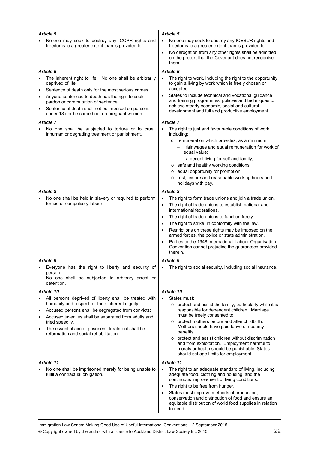#### *Article 5*

 No-one may seek to destroy any ICCPR rights and freedoms to a greater extent than is provided for.

#### *Article 6*

- The inherent right to life. No one shall be arbitrarily deprived of life.
- Sentence of death only for the most serious crimes.
- Anyone sentenced to death has the right to seek pardon or commutation of sentence.
- Sentence of death shall not be imposed on persons under 18 nor be carried out on pregnant women.

#### *Article 7*

 No one shall be subjected to torture or to cruel, inhuman or degrading treatment or punishment.

#### *Article 8*

 No one shall be held in slavery or required to perform forced or compulsory labour.

#### *Article 9*

 Everyone has the right to liberty and security of person.

No one shall be subjected to arbitrary arrest or detention.

#### *Article 10*

- All persons deprived of liberty shall be treated with humanity and respect for their inherent dignity.
- Accused persons shall be segregated from convicts;
- Accused juveniles shall be separated from adults and tried speedily.
- The essential aim of prisoners' treatment shall be reformation and social rehabilitation.

#### *Article 11*

 No one shall be imprisoned merely for being unable to fulfil a contractual obligation.

#### *Article 5*

- No-one may seek to destroy any ICESCR rights and freedoms to a greater extent than is provided for.
- No derogation from any other rights shall be admitted on the pretext that the Covenant does not recognise them.

#### *Article 6*

- The right to work, including the right to the opportunity to gain a living by work which is freely chosen or accepted.
- States to include technical and vocational guidance and training programmes, policies and techniques to achieve steady economic, social and cultural development and full and productive employment.

#### *Article 7*

- The right to just and favourable conditions of work, including:
	- o remuneration which provides, as a minimum:
		- fair wages and equal remuneration for work of equal value;
		- a decent living for self and family;
	- o safe and healthy working conditions;
	- o equal opportunity for promotion;
	- o rest, leisure and reasonable working hours and holidays with pay.

#### *Article 8*

- The right to form trade unions and join a trade union.
- The right of trade unions to establish national and international federations.
- The right of trade unions to function freely.
- The right to strike, in conformity with the law.
- Restrictions on these rights may be imposed on the armed forces, the police or state administration.
- Parties to the 1948 International Labour Organisation Convention cannot prejudice the guarantees provided therein.

#### *Article 9*

The right to social security, including social insurance.

#### *Article 10*

- States must:
	- o protect and assist the family, particularly while it is responsible for dependent children. Marriage must be freely consented to.
	- o protect mothers before and after childbirth. Mothers should have paid leave or security benefits.
	- o protect and assist children without discrimination and from exploitation. Employment harmful to morals or health should be punishable. States should set age limits for employment.

#### *Article 11*

- The right to an adequate standard of living, including adequate food, clothing and housing, and the continuous improvement of living conditions.
- The right to be free from hunger.
- States must improve methods of production, conservation and distribution of food and ensure an equitable distribution of world food supplies in relation to need.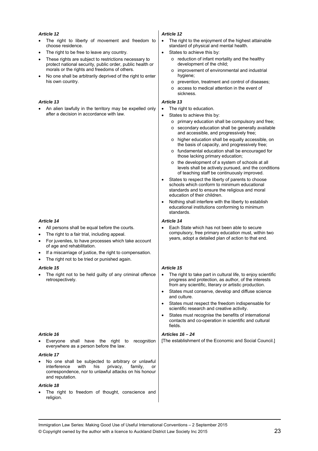#### *Article 12*

- The right to liberty of movement and freedom to choose residence.
- The right to be free to leave any country.
- These rights are subject to restrictions necessary to protect national security, public order, public health or morals or the rights and freedoms of others.
- No one shall be arbitrarily deprived of the right to enter his own country.

#### *Article 13*

 An alien lawfully in the territory may be expelled only after a decision in accordance with law.

#### *Article 14*

- All persons shall be equal before the courts.
- The right to a fair trial, including appeal.
- For juveniles, to have processes which take account of age and rehabilitation.
- If a miscarriage of justice, the right to compensation.
- The right not to be tried or punished again.

#### *Article 15*

 The right not to be held guilty of any criminal offence retrospectively.

#### *Article 16*

 Everyone shall have the right to recognition everywhere as a person before the law.

#### *Article 17*

 No one shall be subjected to arbitrary or unlawful  $interference$  with his privacy, family, correspondence, nor to unlawful attacks on his honour and reputation.

#### *Article 18*

 The right to freedom of thought, conscience and religion.

#### *Article 12*

- The right to the enjoyment of the highest attainable standard of physical and mental health.
- States to achieve this by:
	- o reduction of infant mortality and the healthy development of the child;
	- o improvement of environmental and industrial hygiene;
	- o prevention, treatment and control of diseases;
	- o access to medical attention in the event of sickness.

#### *Article 13*

- The right to education.
- States to achieve this by:
	- o primary education shall be compulsory and free;
	- o secondary education shall be generally available and accessible, and progressively free;
	- o higher education shall be equally accessible, on the basis of capacity, and progressively free;
	- o fundamental education shall be encouraged for those lacking primary education;
	- o the development of a system of schools at all levels shall be actively pursued, and the conditions of teaching staff be continuously improved.
- States to respect the liberty of parents to choose schools which conform to minimum educational standards and to ensure the religious and moral education of their children.
- Nothing shall interfere with the liberty to establish educational institutions conforming to minimum standards.

#### *Article 14*

 Each State which has not been able to secure compulsory, free primary education must, within two years, adopt a detailed plan of action to that end.

#### *Article 15*

- The right to take part in cultural life, to enjoy scientific progress and protection, as author, of the interests from any scientific, literary or artistic production.
- States must conserve, develop and diffuse science and culture.
- States must respect the freedom indispensable for scientific research and creative activity.
- States must recognise the benefits of international contacts and co-operation in scientific and cultural fields.

#### *Articles 16 – 24*

[The establishment of the Economic and Social Council.]